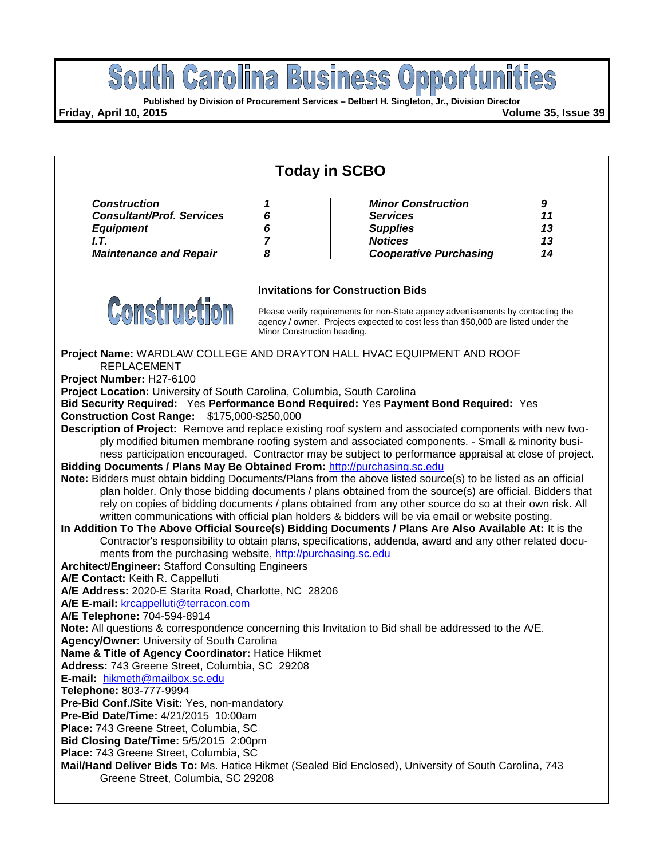

**Construction Cost Range:** \$175,000-\$250,000

**Description of Project:** Remove and replace existing roof system and associated components with new twoply modified bitumen membrane roofing system and associated components. - Small & minority business participation encouraged. Contractor may be subject to performance appraisal at close of project.

**Bidding Documents / Plans May Be Obtained From:** [http://purchasing.sc.edu](http://purchasing.sc.edu/)

**Note:** Bidders must obtain bidding Documents/Plans from the above listed source(s) to be listed as an official plan holder. Only those bidding documents / plans obtained from the source(s) are official. Bidders that rely on copies of bidding documents / plans obtained from any other source do so at their own risk. All written communications with official plan holders & bidders will be via email or website posting.

**In Addition To The Above Official Source(s) Bidding Documents / Plans Are Also Available At:** It is the Contractor's responsibility to obtain plans, specifications, addenda, award and any other related documents from the purchasing website, [http://purchasing.sc.edu](http://purchasing.sc.edu/)

**Architect/Engineer:** Stafford Consulting Engineers

**A/E Contact:** Keith R. Cappelluti

**A/E Address:** 2020-E Starita Road, Charlotte, NC 28206

**A/E E-mail:** [krcappelluti@terracon.com](mailto:krcappelluti@terracon.com)

**A/E Telephone:** 704-594-8914

**Note:** All questions & correspondence concerning this Invitation to Bid shall be addressed to the A/E.

**Agency/Owner:** University of South Carolina

**Name & Title of Agency Coordinator:** Hatice Hikmet

**Address:** 743 Greene Street, Columbia, SC 29208

**E-mail:** [hikmeth@mailbox.sc.edu](mailto:hikmeth@mailbox.sc.edu)

**Telephone:** 803-777-9994

**Pre-Bid Conf./Site Visit:** Yes, non-mandatory

**Pre-Bid Date/Time:** 4/21/2015 10:00am

**Place:** 743 Greene Street, Columbia, SC

**Bid Closing Date/Time:** 5/5/2015 2:00pm

**Place:** 743 Greene Street, Columbia, SC

**Mail/Hand Deliver Bids To:** Ms. Hatice Hikmet (Sealed Bid Enclosed), University of South Carolina, 743 Greene Street, Columbia, SC 29208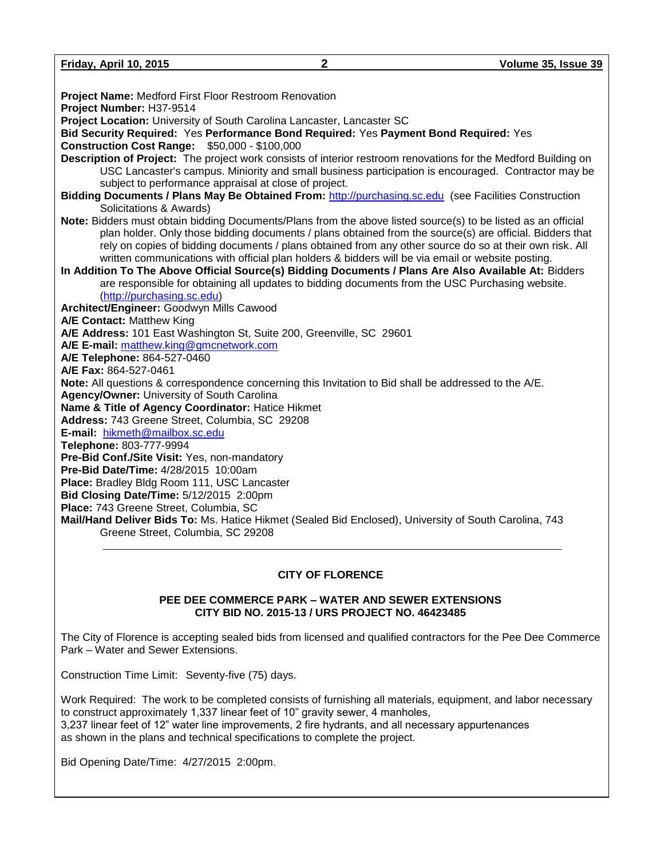**Friday, April 10, 2015 2 Volume 35, Issue 39**

| Project Name: Medford First Floor Restroom Renovation                                                                                                                                                                                                                          |
|--------------------------------------------------------------------------------------------------------------------------------------------------------------------------------------------------------------------------------------------------------------------------------|
| Project Number: H37-9514                                                                                                                                                                                                                                                       |
| Project Location: University of South Carolina Lancaster, Lancaster SC                                                                                                                                                                                                         |
| Bid Security Required: Yes Performance Bond Required: Yes Payment Bond Required: Yes                                                                                                                                                                                           |
| <b>Construction Cost Range: \$50,000 - \$100,000</b>                                                                                                                                                                                                                           |
| Description of Project: The project work consists of interior restroom renovations for the Medford Building on<br>USC Lancaster's campus. Miniority and small business participation is encouraged. Contractor may be<br>subject to performance appraisal at close of project. |
| Bidding Documents / Plans May Be Obtained From: http://purchasing.sc.edu (see Facilities Construction                                                                                                                                                                          |
| Solicitations & Awards)                                                                                                                                                                                                                                                        |
| Note: Bidders must obtain bidding Documents/Plans from the above listed source(s) to be listed as an official                                                                                                                                                                  |
| plan holder. Only those bidding documents / plans obtained from the source(s) are official. Bidders that                                                                                                                                                                       |
| rely on copies of bidding documents / plans obtained from any other source do so at their own risk. All                                                                                                                                                                        |
| written communications with official plan holders & bidders will be via email or website posting.                                                                                                                                                                              |
| In Addition To The Above Official Source(s) Bidding Documents / Plans Are Also Available At: Bidders                                                                                                                                                                           |
| are responsible for obtaining all updates to bidding documents from the USC Purchasing website.                                                                                                                                                                                |
| (http://purchasing.sc.edu)                                                                                                                                                                                                                                                     |
| Architect/Engineer: Goodwyn Mills Cawood                                                                                                                                                                                                                                       |
| A/E Contact: Matthew King                                                                                                                                                                                                                                                      |
| A/E Address: 101 East Washington St, Suite 200, Greenville, SC 29601                                                                                                                                                                                                           |
| A/E E-mail: matthew.king@gmcnetwork.com                                                                                                                                                                                                                                        |
| A/E Telephone: 864-527-0460                                                                                                                                                                                                                                                    |
| A/E Fax: 864-527-0461                                                                                                                                                                                                                                                          |
| Note: All questions & correspondence concerning this Invitation to Bid shall be addressed to the A/E.                                                                                                                                                                          |
| Agency/Owner: University of South Carolina                                                                                                                                                                                                                                     |
| Name & Title of Agency Coordinator: Hatice Hikmet                                                                                                                                                                                                                              |
| Address: 743 Greene Street, Columbia, SC 29208                                                                                                                                                                                                                                 |
| E-mail: hikmeth@mailbox.sc.edu                                                                                                                                                                                                                                                 |
| Telephone: 803-777-9994                                                                                                                                                                                                                                                        |
| Pre-Bid Conf./Site Visit: Yes, non-mandatory                                                                                                                                                                                                                                   |
| Pre-Bid Date/Time: 4/28/2015 10:00am                                                                                                                                                                                                                                           |
| Place: Bradley Bldg Room 111, USC Lancaster                                                                                                                                                                                                                                    |
| Bid Closing Date/Time: 5/12/2015 2:00pm                                                                                                                                                                                                                                        |
| Place: 743 Greene Street, Columbia, SC                                                                                                                                                                                                                                         |
| Mail/Hand Deliver Bids To: Ms. Hatice Hikmet (Sealed Bid Enclosed), University of South Carolina, 743<br>Greene Street, Columbia, SC 29208                                                                                                                                     |
|                                                                                                                                                                                                                                                                                |
|                                                                                                                                                                                                                                                                                |

#### **CITY OF FLORENCE**

#### **PEE DEE COMMERCE PARK – WATER AND SEWER EXTENSIONS CITY BID NO. 2015-13 / URS PROJECT NO. 46423485**

The City of Florence is accepting sealed bids from licensed and qualified contractors for the Pee Dee Commerce Park – Water and Sewer Extensions.

Construction Time Limit: Seventy-five (75) days.

Work Required: The work to be completed consists of furnishing all materials, equipment, and labor necessary to construct approximately 1,337 linear feet of 10" gravity sewer, 4 manholes, 3,237 linear feet of 12" water line improvements, 2 fire hydrants, and all necessary appurtenances as shown in the plans and technical specifications to complete the project.

Bid Opening Date/Time: 4/27/2015 2:00pm.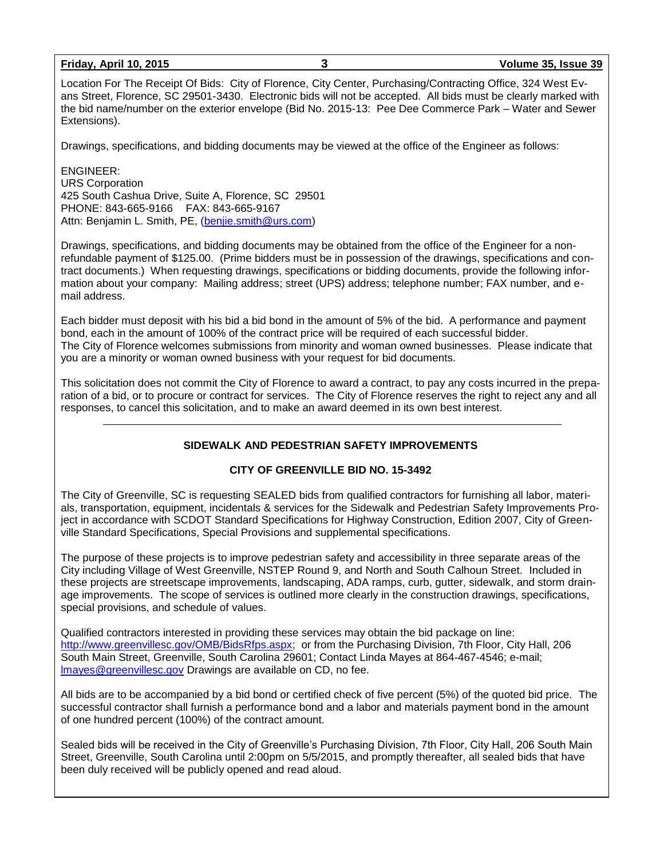Location For The Receipt Of Bids: City of Florence, City Center, Purchasing/Contracting Office, 324 West Evans Street, Florence, SC 29501-3430. Electronic bids will not be accepted. All bids must be clearly marked with the bid name/number on the exterior envelope (Bid No. 2015-13: Pee Dee Commerce Park – Water and Sewer Extensions).

Drawings, specifications, and bidding documents may be viewed at the office of the Engineer as follows:

ENGINEER: URS Corporation 425 South Cashua Drive, Suite A, Florence, SC 29501 PHONE: 843-665-9166 FAX: 843-665-9167 Attn: Benjamin L. Smith, PE, [\(benjie.smith@urs.com\)](mailto:benjie.smith@urs.com)

Drawings, specifications, and bidding documents may be obtained from the office of the Engineer for a nonrefundable payment of \$125.00. (Prime bidders must be in possession of the drawings, specifications and contract documents.) When requesting drawings, specifications or bidding documents, provide the following information about your company: Mailing address; street (UPS) address; telephone number; FAX number, and email address.

Each bidder must deposit with his bid a bid bond in the amount of 5% of the bid. A performance and payment bond, each in the amount of 100% of the contract price will be required of each successful bidder. The City of Florence welcomes submissions from minority and woman owned businesses. Please indicate that you are a minority or woman owned business with your request for bid documents.

This solicitation does not commit the City of Florence to award a contract, to pay any costs incurred in the preparation of a bid, or to procure or contract for services. The City of Florence reserves the right to reject any and all responses, to cancel this solicitation, and to make an award deemed in its own best interest.

#### **SIDEWALK AND PEDESTRIAN SAFETY IMPROVEMENTS**

#### **CITY OF GREENVILLE BID NO. 15-3492**

The City of Greenville, SC is requesting SEALED bids from qualified contractors for furnishing all labor, materials, transportation, equipment, incidentals & services for the Sidewalk and Pedestrian Safety Improvements Project in accordance with SCDOT Standard Specifications for Highway Construction, Edition 2007, City of Greenville Standard Specifications, Special Provisions and supplemental specifications.

The purpose of these projects is to improve pedestrian safety and accessibility in three separate areas of the City including Village of West Greenville, NSTEP Round 9, and North and South Calhoun Street. Included in these projects are streetscape improvements, landscaping, ADA ramps, curb, gutter, sidewalk, and storm drainage improvements. The scope of services is outlined more clearly in the construction drawings, specifications, special provisions, and schedule of values.

Qualified contractors interested in providing these services may obtain the bid package on line: [http://www.greenvillesc.gov/OMB/BidsRfps.aspx;](http://www.greenvillesc.gov/OMB/BidsRfps.aspx) or from the Purchasing Division, 7th Floor, City Hall, 206 South Main Street, Greenville, South Carolina 29601; Contact Linda Mayes at 864-467-4546; e-mail; [lmayes@greenvillesc.gov](mailto:lmayes@greenvillesc.gov) Drawings are available on CD, no fee.

All bids are to be accompanied by a bid bond or certified check of five percent (5%) of the quoted bid price. The successful contractor shall furnish a performance bond and a labor and materials payment bond in the amount of one hundred percent (100%) of the contract amount.

Sealed bids will be received in the City of Greenville's Purchasing Division, 7th Floor, City Hall, 206 South Main Street, Greenville, South Carolina until 2:00pm on 5/5/2015, and promptly thereafter, all sealed bids that have been duly received will be publicly opened and read aloud.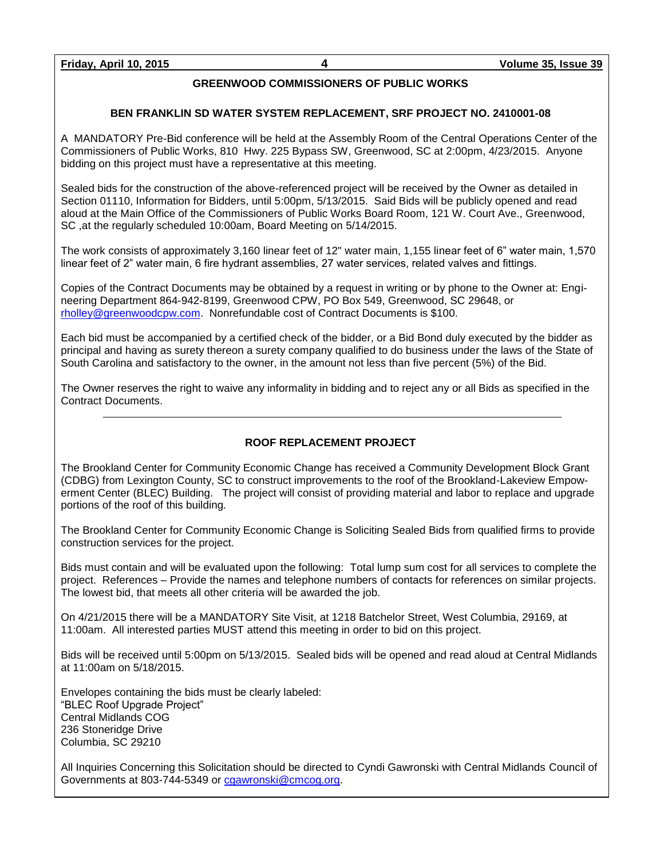#### **GREENWOOD COMMISSIONERS OF PUBLIC WORKS**

#### **BEN FRANKLIN SD WATER SYSTEM REPLACEMENT, SRF PROJECT NO. 2410001-08**

A MANDATORY Pre-Bid conference will be held at the Assembly Room of the Central Operations Center of the Commissioners of Public Works, 810 Hwy. 225 Bypass SW, Greenwood, SC at 2:00pm, 4/23/2015. Anyone bidding on this project must have a representative at this meeting.

Sealed bids for the construction of the above-referenced project will be received by the Owner as detailed in Section 01110, Information for Bidders, until 5:00pm, 5/13/2015. Said Bids will be publicly opened and read aloud at the Main Office of the Commissioners of Public Works Board Room, 121 W. Court Ave., Greenwood, SC ,at the regularly scheduled 10:00am, Board Meeting on 5/14/2015.

The work consists of approximately 3,160 linear feet of 12" water main, 1,155 linear feet of 6" water main, 1,570 linear feet of 2" water main, 6 fire hydrant assemblies, 27 water services, related valves and fittings.

Copies of the Contract Documents may be obtained by a request in writing or by phone to the Owner at: Engineering Department 864-942-8199, Greenwood CPW, PO Box 549, Greenwood, SC 29648, or [rholley@greenwoodcpw.com.](mailto:rholley@greenwoodcpw.com) Nonrefundable cost of Contract Documents is \$100.

Each bid must be accompanied by a certified check of the bidder, or a Bid Bond duly executed by the bidder as principal and having as surety thereon a surety company qualified to do business under the laws of the State of South Carolina and satisfactory to the owner, in the amount not less than five percent (5%) of the Bid.

The Owner reserves the right to waive any informality in bidding and to reject any or all Bids as specified in the Contract Documents.

#### **ROOF REPLACEMENT PROJECT**

The Brookland Center for Community Economic Change has received a Community Development Block Grant (CDBG) from Lexington County, SC to construct improvements to the roof of the Brookland-Lakeview Empowerment Center (BLEC) Building. The project will consist of providing material and labor to replace and upgrade portions of the roof of this building.

The Brookland Center for Community Economic Change is Soliciting Sealed Bids from qualified firms to provide construction services for the project.

Bids must contain and will be evaluated upon the following: Total lump sum cost for all services to complete the project. References – Provide the names and telephone numbers of contacts for references on similar projects. The lowest bid, that meets all other criteria will be awarded the job.

On 4/21/2015 there will be a MANDATORY Site Visit, at 1218 Batchelor Street, West Columbia, 29169, at 11:00am. All interested parties MUST attend this meeting in order to bid on this project.

Bids will be received until 5:00pm on 5/13/2015. Sealed bids will be opened and read aloud at Central Midlands at 11:00am on 5/18/2015.

Envelopes containing the bids must be clearly labeled: "BLEC Roof Upgrade Project" Central Midlands COG 236 Stoneridge Drive Columbia, SC 29210

All Inquiries Concerning this Solicitation should be directed to Cyndi Gawronski with Central Midlands Council of Governments at 803-744-5349 or [cgawronski@cmcog.org.](mailto:cgawronski@cmcog.org)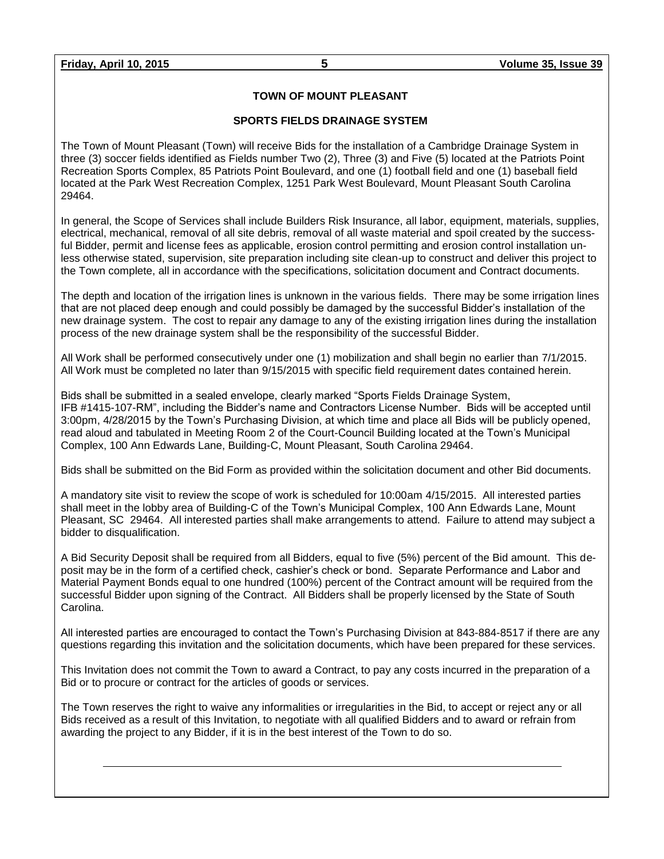#### **TOWN OF MOUNT PLEASANT**

#### **SPORTS FIELDS DRAINAGE SYSTEM**

The Town of Mount Pleasant (Town) will receive Bids for the installation of a Cambridge Drainage System in three (3) soccer fields identified as Fields number Two (2), Three (3) and Five (5) located at the Patriots Point Recreation Sports Complex, 85 Patriots Point Boulevard, and one (1) football field and one (1) baseball field located at the Park West Recreation Complex, 1251 Park West Boulevard, Mount Pleasant South Carolina 29464.

In general, the Scope of Services shall include Builders Risk Insurance, all labor, equipment, materials, supplies, electrical, mechanical, removal of all site debris, removal of all waste material and spoil created by the successful Bidder, permit and license fees as applicable, erosion control permitting and erosion control installation unless otherwise stated, supervision, site preparation including site clean-up to construct and deliver this project to the Town complete, all in accordance with the specifications, solicitation document and Contract documents.

The depth and location of the irrigation lines is unknown in the various fields. There may be some irrigation lines that are not placed deep enough and could possibly be damaged by the successful Bidder's installation of the new drainage system. The cost to repair any damage to any of the existing irrigation lines during the installation process of the new drainage system shall be the responsibility of the successful Bidder.

All Work shall be performed consecutively under one (1) mobilization and shall begin no earlier than 7/1/2015. All Work must be completed no later than 9/15/2015 with specific field requirement dates contained herein.

Bids shall be submitted in a sealed envelope, clearly marked "Sports Fields Drainage System, IFB #1415-107-RM", including the Bidder's name and Contractors License Number. Bids will be accepted until 3:00pm, 4/28/2015 by the Town's Purchasing Division, at which time and place all Bids will be publicly opened, read aloud and tabulated in Meeting Room 2 of the Court-Council Building located at the Town's Municipal Complex, 100 Ann Edwards Lane, Building-C, Mount Pleasant, South Carolina 29464.

Bids shall be submitted on the Bid Form as provided within the solicitation document and other Bid documents.

A mandatory site visit to review the scope of work is scheduled for 10:00am 4/15/2015. All interested parties shall meet in the lobby area of Building-C of the Town's Municipal Complex, 100 Ann Edwards Lane, Mount Pleasant, SC 29464. All interested parties shall make arrangements to attend. Failure to attend may subject a bidder to disqualification.

A Bid Security Deposit shall be required from all Bidders, equal to five (5%) percent of the Bid amount. This deposit may be in the form of a certified check, cashier's check or bond. Separate Performance and Labor and Material Payment Bonds equal to one hundred (100%) percent of the Contract amount will be required from the successful Bidder upon signing of the Contract. All Bidders shall be properly licensed by the State of South Carolina.

All interested parties are encouraged to contact the Town's Purchasing Division at 843-884-8517 if there are any questions regarding this invitation and the solicitation documents, which have been prepared for these services.

This Invitation does not commit the Town to award a Contract, to pay any costs incurred in the preparation of a Bid or to procure or contract for the articles of goods or services.

The Town reserves the right to waive any informalities or irregularities in the Bid, to accept or reject any or all Bids received as a result of this Invitation, to negotiate with all qualified Bidders and to award or refrain from awarding the project to any Bidder, if it is in the best interest of the Town to do so.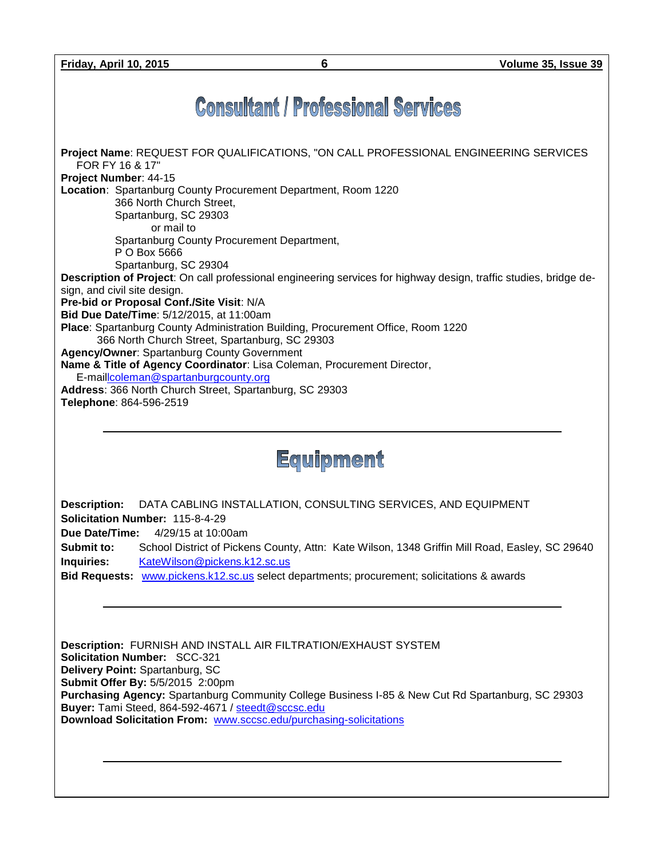# **Consultant / Professional Services**



Equipment

**Description:** DATA CABLING INSTALLATION, CONSULTING SERVICES, AND EQUIPMENT **Solicitation Number:** 115-8-4-29

**Due Date/Time:** 4/29/15 at 10:00am

**Submit to:** School District of Pickens County, Attn: Kate Wilson, 1348 Griffin Mill Road, Easley, SC 29640 **Inquiries:** [KateWilson@pickens.k12.sc.us](mailto:KateWilson@pickens.k12.sc.us)

**Bid Requests:** [www.pickens.k12.sc.us](http://www.pickens.k12.sc.us/) select departments; procurement; solicitations & awards

**Description:** FURNISH AND INSTALL AIR FILTRATION/EXHAUST SYSTEM **Solicitation Number:** SCC-321 **Delivery Point:** Spartanburg, SC **Submit Offer By:** 5/5/2015 2:00pm **Purchasing Agency:** Spartanburg Community College Business I-85 & New Cut Rd Spartanburg, SC 29303 **Buyer:** Tami Steed, 864-592-4671 / [steedt@sccsc.edu](mailto:steedt@sccsc.edu) **Download Solicitation From:** [www.sccsc.edu/purchasing-solicitations](http://www.sccsc.edu/purchasing-solicitations)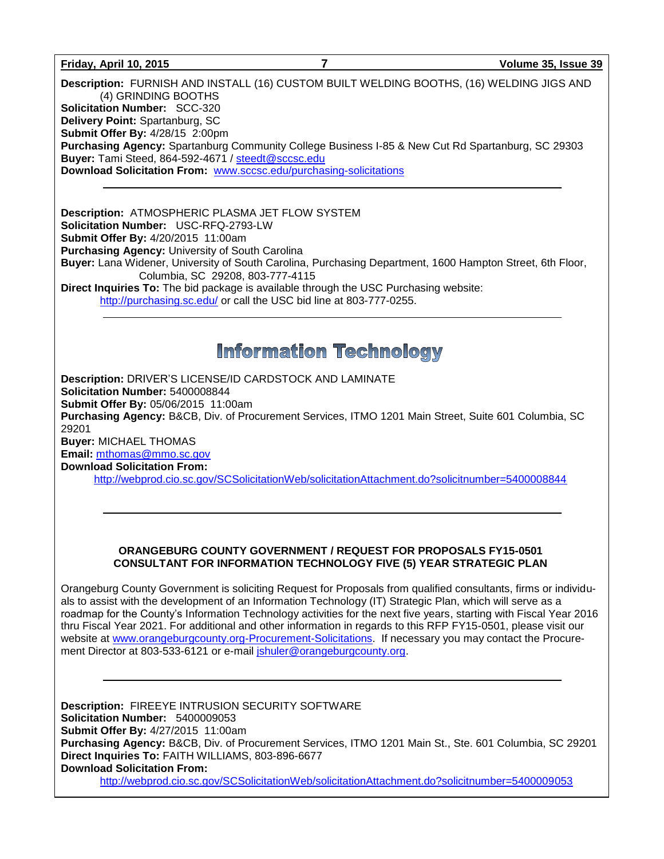#### **Friday, April 10, 2015 7 Volume 35, Issue 39**

**Description:** FURNISH AND INSTALL (16) CUSTOM BUILT WELDING BOOTHS, (16) WELDING JIGS AND (4) GRINDING BOOTHS **Solicitation Number:** SCC-320 **Delivery Point:** Spartanburg, SC **Submit Offer By:** 4/28/15 2:00pm **Purchasing Agency:** Spartanburg Community College Business I-85 & New Cut Rd Spartanburg, SC 29303 **Buyer:** Tami Steed, 864-592-4671 / [steedt@sccsc.edu](mailto:steedt@sccsc.edu) **Download Solicitation From:** [www.sccsc.edu/purchasing-solicitations](http://www.sccsc.edu/purchasing-solicitations)

**Description:** ATMOSPHERIC PLASMA JET FLOW SYSTEM **Solicitation Number:** USC-RFQ-2793-LW **Submit Offer By:** 4/20/2015 11:00am **Purchasing Agency:** University of South Carolina **Buyer:** Lana Widener, University of South Carolina, Purchasing Department, 1600 Hampton Street, 6th Floor, Columbia, SC 29208, 803-777-4115 **Direct Inquiries To:** The bid package is available through the USC Purchasing website:

<http://purchasing.sc.edu/> or call the USC bid line at 803-777-0255.

### **Information Technology**

**Description:** DRIVER'S LICENSE/ID CARDSTOCK AND LAMINATE **Solicitation Number:** 5400008844 **Submit Offer By:** 05/06/2015 11:00am **Purchasing Agency:** B&CB, Div. of Procurement Services, ITMO 1201 Main Street, Suite 601 Columbia, SC 29201 **Buyer:** MICHAEL THOMAS **Email:** [mthomas@mmo.sc.gov](mailto:mthomas@mmo.sc.gov) **Download Solicitation From:** 

<http://webprod.cio.sc.gov/SCSolicitationWeb/solicitationAttachment.do?solicitnumber=5400008844>

#### **ORANGEBURG COUNTY GOVERNMENT / REQUEST FOR PROPOSALS FY15-0501 CONSULTANT FOR INFORMATION TECHNOLOGY FIVE (5) YEAR STRATEGIC PLAN**

Orangeburg County Government is soliciting Request for Proposals from qualified consultants, firms or individuals to assist with the development of an Information Technology (IT) Strategic Plan, which will serve as a roadmap for the County's Information Technology activities for the next five years, starting with Fiscal Year 2016 thru Fiscal Year 2021. For additional and other information in regards to this RFP FY15-0501, please visit our website at [www.orangeburgcounty.org-Procurement-Solicitations.](http://www.orangeburgcounty.org-procurement-solicitations/) If necessary you may contact the Procurement Director at 803-533-6121 or e-mail [jshuler@orangeburgcounty.org.](mailto:jshuler@orangeburgcounty.org)

**Description:** FIREEYE INTRUSION SECURITY SOFTWARE **Solicitation Number:** 5400009053 **Submit Offer By:** 4/27/2015 11:00am **Purchasing Agency:** B&CB, Div. of Procurement Services, ITMO 1201 Main St., Ste. 601 Columbia, SC 29201 **Direct Inquiries To:** FAITH WILLIAMS, 803-896-6677 **Download Solicitation From:** <http://webprod.cio.sc.gov/SCSolicitationWeb/solicitationAttachment.do?solicitnumber=5400009053>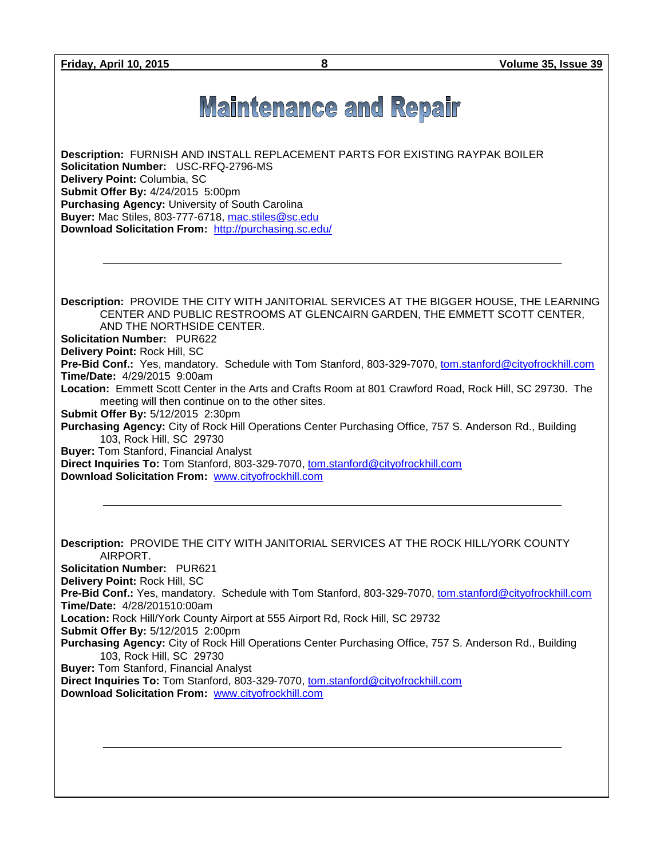**Friday, April 10, 2015 8 Volume 35, Issue 39**

# **Maintenance and Repair**

**Description:** FURNISH AND INSTALL REPLACEMENT PARTS FOR EXISTING RAYPAK BOILER **Solicitation Number:** USC-RFQ-2796-MS **Delivery Point:** Columbia, SC **Submit Offer By:** 4/24/2015 5:00pm **Purchasing Agency:** University of South Carolina **Buyer:** Mac Stiles, 803-777-6718, [mac.stiles@sc.edu](mailto:mac.stiles@sc.edu) **Download Solicitation From:** <http://purchasing.sc.edu/>

**Description:** PROVIDE THE CITY WITH JANITORIAL SERVICES AT THE BIGGER HOUSE, THE LEARNING CENTER AND PUBLIC RESTROOMS AT GLENCAIRN GARDEN, THE EMMETT SCOTT CENTER, AND THE NORTHSIDE CENTER.

**Solicitation Number:** PUR622

**Delivery Point:** Rock Hill, SC

**Pre-Bid Conf.:** Yes, mandatory. Schedule with Tom Stanford, 803-329-7070, [tom.stanford@cityofrockhill.com](mailto:tom.stanford@cityofrockhill.com) **Time/Date:** 4/29/2015 9:00am

**Location:** Emmett Scott Center in the Arts and Crafts Room at 801 Crawford Road, Rock Hill, SC 29730. The meeting will then continue on to the other sites.

**Submit Offer By:** 5/12/2015 2:30pm

**Purchasing Agency:** City of Rock Hill Operations Center Purchasing Office, 757 S. Anderson Rd., Building 103, Rock Hill, SC 29730

**Buyer:** Tom Stanford, Financial Analyst

**Direct Inquiries To:** Tom Stanford, 803-329-7070, [tom.stanford@cityofrockhill.com](mailto:tom.stanford@cityofrockhill.com) **Download Solicitation From:** [www.cityofrockhill.com](http://www.cityofrockhill.com/)

**Description:** PROVIDE THE CITY WITH JANITORIAL SERVICES AT THE ROCK HILL/YORK COUNTY AIRPORT. **Solicitation Number:** PUR621 **Delivery Point:** Rock Hill, SC **Pre-Bid Conf.:** Yes, mandatory. Schedule with Tom Stanford, 803-329-7070, [tom.stanford@cityofrockhill.com](mailto:tom.stanford@cityofrockhill.com) **Time/Date:** 4/28/201510:00am **Location:** Rock Hill/York County Airport at 555 Airport Rd, Rock Hill, SC 29732 **Submit Offer By:** 5/12/2015 2:00pm **Purchasing Agency:** City of Rock Hill Operations Center Purchasing Office, 757 S. Anderson Rd., Building 103, Rock Hill, SC 29730 **Buyer:** Tom Stanford, Financial Analyst **Direct Inquiries To:** Tom Stanford, 803-329-7070, [tom.stanford@cityofrockhill.com](mailto:tom.stanford@cityofrockhill.com)

**Download Solicitation From:** [www.cityofrockhill.com](http://www.cityofrockhill.com/)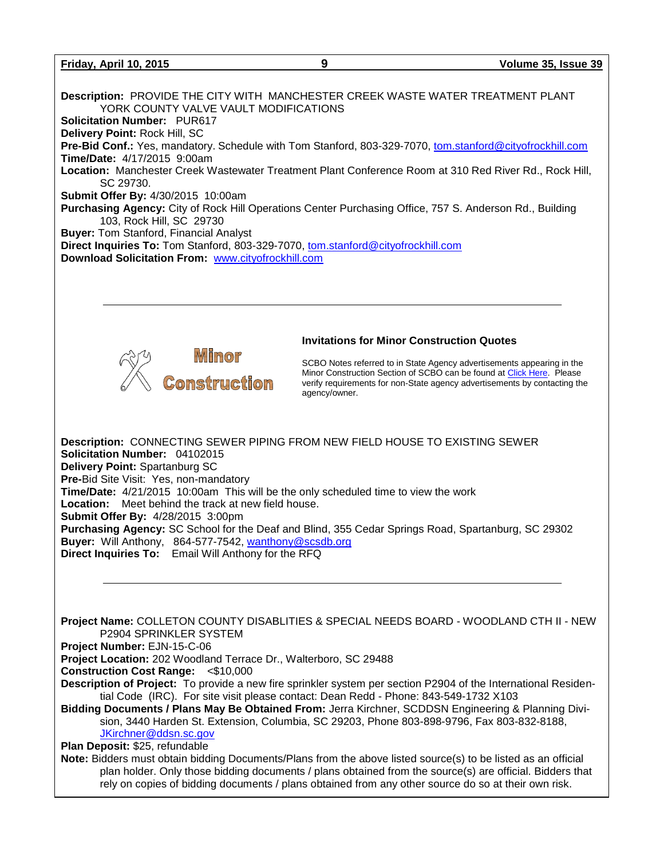#### **Friday, April 10, 2015 9 Volume 35, Issue 39**

**Description:** PROVIDE THE CITY WITH MANCHESTER CREEK WASTE WATER TREATMENT PLANT YORK COUNTY VALVE VAULT MODIFICATIONS **Solicitation Number:** PUR617 **Delivery Point:** Rock Hill, SC **Pre-Bid Conf.:** Yes, mandatory. Schedule with Tom Stanford, 803-329-7070, [tom.stanford@cityofrockhill.com](mailto:tom.stanford@cityofrockhill.com) **Time/Date:** 4/17/2015 9:00am **Location:** Manchester Creek Wastewater Treatment Plant Conference Room at 310 Red River Rd., Rock Hill, SC 29730. **Submit Offer By:** 4/30/2015 10:00am **Purchasing Agency:** City of Rock Hill Operations Center Purchasing Office, 757 S. Anderson Rd., Building 103, Rock Hill, SC 29730 **Buyer:** Tom Stanford, Financial Analyst **Direct Inquiries To:** Tom Stanford, 803-329-7070, [tom.stanford@cityofrockhill.com](mailto:tom.stanford@cityofrockhill.com) **Download Solicitation From:** [www.cityofrockhill.com](http://www.cityofrockhill.com/)



#### **Invitations for Minor Construction Quotes**

SCBO Notes referred to in State Agency advertisements appearing in the Minor Construction Section of SCBO can be found at [Click Here.](http://www.mmo.sc.gov/PS/general/scbo/SCBO_Notes_060512.pdf) Please verify requirements for non-State agency advertisements by contacting the agency/owner.

**Description:** CONNECTING SEWER PIPING FROM NEW FIELD HOUSE TO EXISTING SEWER **Solicitation Number:** 04102015 **Delivery Point:** Spartanburg SC **Pre-**Bid Site Visit: Yes, non-mandatory **Time/Date:** 4/21/2015 10:00amThis will be the only scheduled time to view the work **Location:** Meet behind the track at new field house. **Submit Offer By:** 4/28/2015 3:00pm **Purchasing Agency:** SC School for the Deaf and Blind, 355 Cedar Springs Road, Spartanburg, SC 29302 **Buyer:** Will Anthony, 864-577-7542, [wanthony@scsdb.org](mailto:wanthony@scsdb.org) **Direct Inquiries To:** Email Will Anthony for the RFQ

**Project Name:** COLLETON COUNTY DISABLITIES & SPECIAL NEEDS BOARD - WOODLAND CTH II - NEW P2904 SPRINKLER SYSTEM

**Project Number:** EJN-15-C-06

**Project Location:** 202 Woodland Terrace Dr., Walterboro, SC 29488

**Construction Cost Range:** <\$10,000

**Description of Project:** To provide a new fire sprinkler system per section P2904 of the International Residential Code (IRC). For site visit please contact: Dean Redd - Phone: 843-549-1732 X103

**Bidding Documents / Plans May Be Obtained From:** Jerra Kirchner, SCDDSN Engineering & Planning Division, 3440 Harden St. Extension, Columbia, SC 29203, Phone 803-898-9796, Fax 803-832-8188, [JKirchner@ddsn.sc.gov](mailto:JKirchner@ddsn.sc.gov)

**Plan Deposit:** \$25, refundable

**Note:** Bidders must obtain bidding Documents/Plans from the above listed source(s) to be listed as an official plan holder. Only those bidding documents / plans obtained from the source(s) are official. Bidders that rely on copies of bidding documents / plans obtained from any other source do so at their own risk.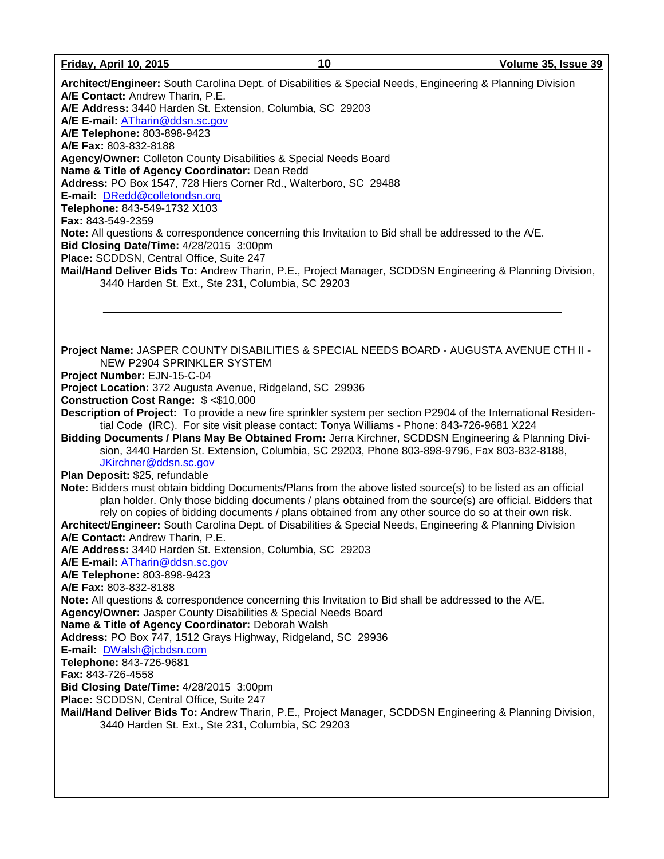**Architect/Engineer:** South Carolina Dept. of Disabilities & Special Needs, Engineering & Planning Division **A/E Contact:** Andrew Tharin, P.E. **A/E Address:** 3440 Harden St. Extension, Columbia, SC 29203 **A/E E-mail:** [ATharin@ddsn.sc.gov](mailto:ATharin@ddsn.sc.gov) **A/E Telephone:** 803-898-9423 **A/E Fax:** 803-832-8188 **Agency/Owner:** Colleton County Disabilities & Special Needs Board **Name & Title of Agency Coordinator:** Dean Redd **Address:** PO Box 1547, 728 Hiers Corner Rd., Walterboro, SC 29488 **E-mail:** [DRedd@colletondsn.org](mailto:DRedd@colletondsn.org) **Telephone:** 843-549-1732 X103 **Fax:** 843-549-2359 **Note:** All questions & correspondence concerning this Invitation to Bid shall be addressed to the A/E. **Bid Closing Date/Time:** 4/28/2015 3:00pm **Place:** SCDDSN, Central Office, Suite 247 **Mail/Hand Deliver Bids To:** Andrew Tharin, P.E., Project Manager, SCDDSN Engineering & Planning Division, 3440 Harden St. Ext., Ste 231, Columbia, SC 29203 **Project Name:** JASPER COUNTY DISABILITIES & SPECIAL NEEDS BOARD - AUGUSTA AVENUE CTH II - NEW P2904 SPRINKLER SYSTEM **Project Number:** EJN-15-C-04 **Project Location:** 372 Augusta Avenue, Ridgeland, SC 29936 **Construction Cost Range:** \$ <\$10,000 **Description of Project:** To provide a new fire sprinkler system per section P2904 of the International Residential Code (IRC). For site visit please contact: Tonya Williams - Phone: 843-726-9681 X224 **Bidding Documents / Plans May Be Obtained From:** Jerra Kirchner, SCDDSN Engineering & Planning Division, 3440 Harden St. Extension, Columbia, SC 29203, Phone 803-898-9796, Fax 803-832-8188, [JKirchner@ddsn.sc.gov](mailto:JKirchner@ddsn.sc.gov) **Plan Deposit:** \$25, refundable **Note:** Bidders must obtain bidding Documents/Plans from the above listed source(s) to be listed as an official plan holder. Only those bidding documents / plans obtained from the source(s) are official. Bidders that rely on copies of bidding documents / plans obtained from any other source do so at their own risk. **Architect/Engineer:** South Carolina Dept. of Disabilities & Special Needs, Engineering & Planning Division **A/E Contact:** Andrew Tharin, P.E. **A/E Address:** 3440 Harden St. Extension, Columbia, SC 29203 **A/E E-mail:** [ATharin@ddsn.sc.gov](mailto:ATharin@ddsn.sc.gov) **A/E Telephone:** 803-898-9423 **A/E Fax:** 803-832-8188 **Note:** All questions & correspondence concerning this Invitation to Bid shall be addressed to the A/E. **Agency/Owner:** Jasper County Disabilities & Special Needs Board **Name & Title of Agency Coordinator:** Deborah Walsh **Address:** PO Box 747, 1512 Grays Highway, Ridgeland, SC 29936 **E-mail:** [DWalsh@jcbdsn.com](mailto:DWalsh@jcbdsn.com) **Telephone:** 843-726-9681 **Fax:** 843-726-4558 **Bid Closing Date/Time:** 4/28/2015 3:00pm **Place:** SCDDSN, Central Office, Suite 247 **Mail/Hand Deliver Bids To:** Andrew Tharin, P.E., Project Manager, SCDDSN Engineering & Planning Division, 3440 Harden St. Ext., Ste 231, Columbia, SC 29203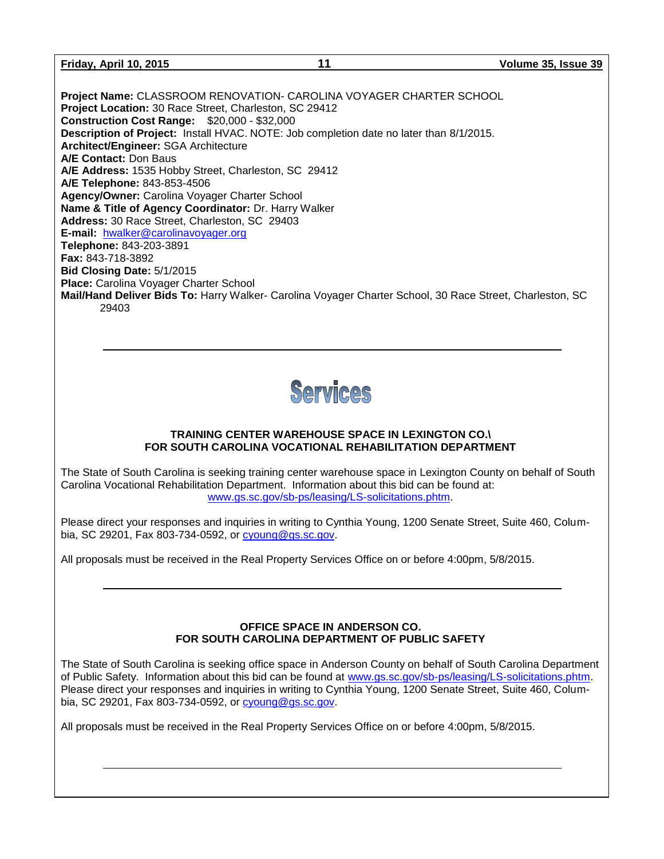| Friday, April 10, 2015 |  |  |
|------------------------|--|--|
|                        |  |  |

**Project Name:** CLASSROOM RENOVATION- CAROLINA VOYAGER CHARTER SCHOOL **Project Location:** 30 Race Street, Charleston, SC 29412 **Construction Cost Range:** \$20,000 - \$32,000 **Description of Project:** Install HVAC. NOTE: Job completion date no later than 8/1/2015. **Architect/Engineer:** SGA Architecture **A/E Contact:** Don Baus **A/E Address:** 1535 Hobby Street, Charleston, SC 29412 **A/E Telephone:** 843-853-4506 **Agency/Owner:** Carolina Voyager Charter School **Name & Title of Agency Coordinator:** Dr. Harry Walker **Address:** 30 Race Street, Charleston, SC 29403 **E-mail:** [hwalker@carolinavoyager.org](mailto:hwalker@carolinavoyager.org) **Telephone:** 843-203-3891 **Fax:** 843-718-3892 **Bid Closing Date:** 5/1/2015 **Place:** Carolina Voyager Charter School **Mail/Hand Deliver Bids To:** Harry Walker- Carolina Voyager Charter School, 30 Race Street, Charleston, SC 29403



#### **TRAINING CENTER WAREHOUSE SPACE IN LEXINGTON CO.\ FOR SOUTH CAROLINA VOCATIONAL REHABILITATION DEPARTMENT**

The State of South Carolina is seeking training center warehouse space in Lexington County on behalf of South Carolina Vocational Rehabilitation Department. Information about this bid can be found at: [www.gs.sc.gov/sb-ps/leasing/LS-solicitations.phtm.](http://www.gs.sc.gov/sb-ps/leasing/LS-solicitations.phtm)

Please direct your responses and inquiries in writing to Cynthia Young, 1200 Senate Street, Suite 460, Columbia, SC 29201, Fax 803-734-0592, or [cyoung@gs.sc.gov.](mailto:cyoung@gs.sc.gov)

All proposals must be received in the Real Property Services Office on or before 4:00pm, 5/8/2015.

#### **OFFICE SPACE IN ANDERSON CO. FOR SOUTH CAROLINA DEPARTMENT OF PUBLIC SAFETY**

The State of South Carolina is seeking office space in Anderson County on behalf of South Carolina Department of Public Safety. Information about this bid can be found at [www.gs.sc.gov/sb-ps/leasing/LS-solicitations.phtm.](http://www.gs.sc.gov/sb-ps/leasing/LS-solicitations.phtm) Please direct your responses and inquiries in writing to Cynthia Young, 1200 Senate Street, Suite 460, Columbia, SC 29201, Fax 803-734-0592, or [cyoung@gs.sc.gov.](mailto:cyoung@gs.sc.gov)

All proposals must be received in the Real Property Services Office on or before 4:00pm, 5/8/2015.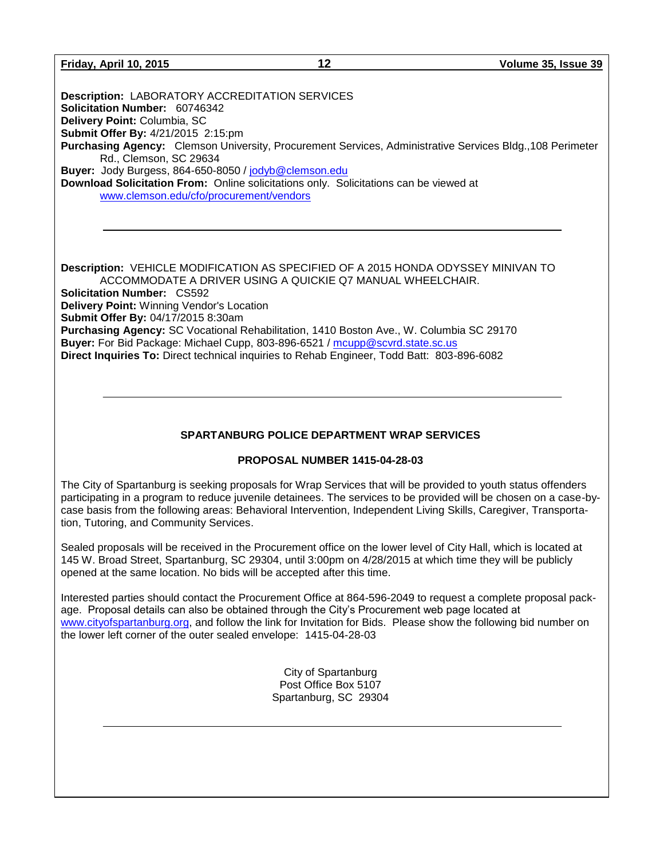#### **Friday, April 10, 2015 12 Volume 35, Issue 39**

**Description:** LABORATORY ACCREDITATION SERVICES **Solicitation Number:** 60746342 **Delivery Point:** Columbia, SC **Submit Offer By:** 4/21/2015 2:15:pm **Purchasing Agency:** Clemson University, Procurement Services, Administrative Services Bldg.,108 Perimeter Rd., Clemson, SC 29634 **Buyer:** Jody Burgess, 864-650-8050 / [jodyb@clemson.edu](mailto:jodyb@clemson.edu) **Download Solicitation From:** Online solicitations only. Solicitations can be viewed at [www.clemson.edu/cfo/procurement/vendors](http://www.clemson.edu/cfo/procurement/vendors)

**Description:** VEHICLE MODIFICATION AS SPECIFIED OF A 2015 HONDA ODYSSEY MINIVAN TO ACCOMMODATE A DRIVER USING A QUICKIE Q7 MANUAL WHEELCHAIR. **Solicitation Number:** CS592 **Delivery Point:** Winning Vendor's Location **Submit Offer By:** 04/17/2015 8:30am **Purchasing Agency:** SC Vocational Rehabilitation, 1410 Boston Ave., W. Columbia SC 29170 **Buyer:** For Bid Package: Michael Cupp, 803-896-6521 / [mcupp@scvrd.state.sc.us](mailto:mcupp@scvrd.state.sc.us) **Direct Inquiries To:** Direct technical inquiries to Rehab Engineer, Todd Batt: 803-896-6082

#### **SPARTANBURG POLICE DEPARTMENT WRAP SERVICES**

#### **PROPOSAL NUMBER 1415-04-28-03**

The City of Spartanburg is seeking proposals for Wrap Services that will be provided to youth status offenders participating in a program to reduce juvenile detainees. The services to be provided will be chosen on a case-bycase basis from the following areas: Behavioral Intervention, Independent Living Skills, Caregiver, Transportation, Tutoring, and Community Services.

Sealed proposals will be received in the Procurement office on the lower level of City Hall, which is located at 145 W. Broad Street, Spartanburg, SC 29304, until 3:00pm on 4/28/2015 at which time they will be publicly opened at the same location. No bids will be accepted after this time.

Interested parties should contact the Procurement Office at 864-596-2049 to request a complete proposal package. Proposal details can also be obtained through the City's Procurement web page located at [www.cityofspartanburg.org,](http://www.cityofspartanburg.org/) and follow the link for Invitation for Bids. Please show the following bid number on the lower left corner of the outer sealed envelope: 1415-04-28-03

> City of Spartanburg Post Office Box 5107 Spartanburg, SC 29304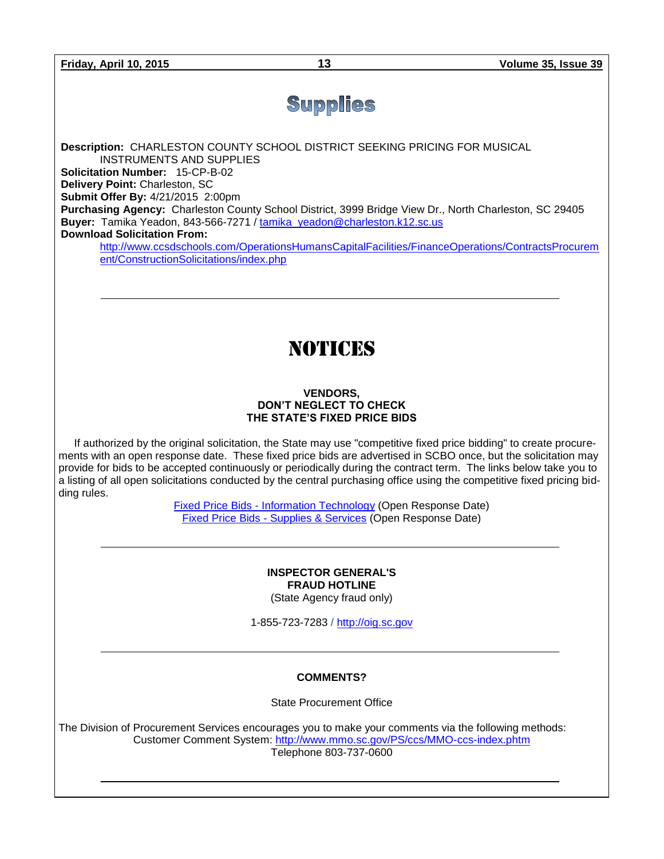## **Supplies**

**Description:** CHARLESTON COUNTY SCHOOL DISTRICT SEEKING PRICING FOR MUSICAL INSTRUMENTS AND SUPPLIES **Solicitation Number:** 15-CP-B-02 **Delivery Point:** Charleston, SC **Submit Offer By:** 4/21/2015 2:00pm **Purchasing Agency:** Charleston County School District, 3999 Bridge View Dr., North Charleston, SC 29405 **Buyer:** Tamika Yeadon, 843-566-7271 / [tamika\\_yeadon@charleston.k12.sc.us](mailto:tamika_yeadon@charleston.k12.sc.us) **Download Solicitation From:**

[http://www.ccsdschools.com/OperationsHumansCapitalFacilities/FinanceOperations/ContractsProcurem](http://www.ccsdschools.com/OperationsHumansCapitalFacilities/FinanceOperations/ContractsProcurement/ConstructionSolicitations/index.php) [ent/ConstructionSolicitations/index.php](http://www.ccsdschools.com/OperationsHumansCapitalFacilities/FinanceOperations/ContractsProcurement/ConstructionSolicitations/index.php)

## NOTICES

#### **VENDORS, DON'T NEGLECT TO CHECK THE STATE'S FIXED PRICE BIDS**

If authorized by the original solicitation, the State may use "competitive fixed price bidding" to create procurements with an open response date. These fixed price bids are advertised in SCBO once, but the solicitation may provide for bids to be accepted continuously or periodically during the contract term. The links below take you to a listing of all open solicitations conducted by the central purchasing office using the competitive fixed pricing bidding rules.

> Fixed Price Bids - [Information Technology](http://www.mmo.sc.gov/PS/vendor/PS-vendor-fixed-price-bids-it.phtm) (Open Response Date) Fixed Price Bids - [Supplies & Services](http://www.mmo.sc.gov/PS/vendor/PS-vendor-fixed-price-bids-ss.phtm) (Open Response Date)

> > **INSPECTOR GENERAL'S FRAUD HOTLINE** (State Agency fraud only)

1-855-723-7283 / [http://oig.sc.gov](http://oig.sc.gov/)

#### **COMMENTS?**

State Procurement Office

The Division of Procurement Services encourages you to make your comments via the following methods: Customer Comment System:<http://www.mmo.sc.gov/PS/ccs/MMO-ccs-index.phtm> Telephone 803-737-0600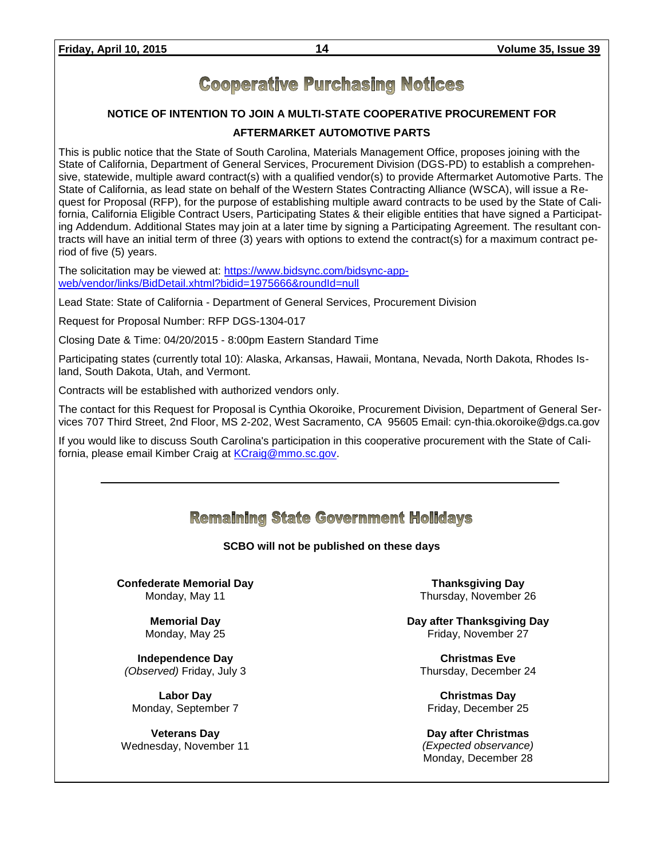### **Cooperative Purchasing Notices**

#### **NOTICE OF INTENTION TO JOIN A MULTI-STATE COOPERATIVE PROCUREMENT FOR**

#### **AFTERMARKET AUTOMOTIVE PARTS**

This is public notice that the State of South Carolina, Materials Management Office, proposes joining with the State of California, Department of General Services, Procurement Division (DGS-PD) to establish a comprehensive, statewide, multiple award contract(s) with a qualified vendor(s) to provide Aftermarket Automotive Parts. The State of California, as lead state on behalf of the Western States Contracting Alliance (WSCA), will issue a Request for Proposal (RFP), for the purpose of establishing multiple award contracts to be used by the State of California, California Eligible Contract Users, Participating States & their eligible entities that have signed a Participating Addendum. Additional States may join at a later time by signing a Participating Agreement. The resultant contracts will have an initial term of three (3) years with options to extend the contract(s) for a maximum contract period of five (5) years.

The solicitation may be viewed at: [https://www.bidsync.com/bidsync-app](https://www.bidsync.com/bidsync-app-web/vendor/links/BidDetail.xhtml?bidid=1975666&roundId=null)[web/vendor/links/BidDetail.xhtml?bidid=1975666&roundId=null](https://www.bidsync.com/bidsync-app-web/vendor/links/BidDetail.xhtml?bidid=1975666&roundId=null) 

Lead State: State of California - Department of General Services, Procurement Division

Request for Proposal Number: RFP DGS-1304-017

Closing Date & Time: 04/20/2015 - 8:00pm Eastern Standard Time

Participating states (currently total 10): Alaska, Arkansas, Hawaii, Montana, Nevada, North Dakota, Rhodes Island, South Dakota, Utah, and Vermont.

Contracts will be established with authorized vendors only.

The contact for this Request for Proposal is Cynthia Okoroike, Procurement Division, Department of General Services 707 Third Street, 2nd Floor, MS 2-202, West Sacramento, CA 95605 Email: cyn-thia.okoroike@dgs.ca.gov

If you would like to discuss South Carolina's participation in this cooperative procurement with the State of Cali-fornia, please email Kimber Craig at [KCraig@mmo.sc.gov.](mailto:KCraig@mmo.sc.gov)

### **Remaining State Government Holidays**

#### **SCBO will not be published on these days**

**Confederate Memorial Day** Monday, May 11

#### **Memorial Day** Monday, May 25

**Independence Day** *(Observed)* Friday, July 3

**Labor Day** Monday, September 7

**Veterans Day** Wednesday, November 11

**Thanksgiving Day** Thursday, November 26

**Day after Thanksgiving Day** Friday, November 27

**Christmas Eve** Thursday, December 24

**Christmas Day** Friday, December 25

**Day after Christmas** *(Expected observance)* Monday, December 28